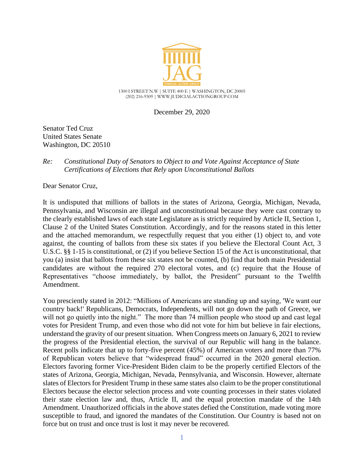

December 29, 2020

Senator Ted Cruz United States Senate Washington, DC 20510

## *Re: Constitutional Duty of Senators to Object to and Vote Against Acceptance of State Certifications of Elections that Rely upon Unconstitutional Ballots*

Dear Senator Cruz,

It is undisputed that millions of ballots in the states of Arizona, Georgia, Michigan, Nevada, Pennsylvania, and Wisconsin are illegal and unconstitutional because they were cast contrary to the clearly established laws of each state Legislature as is strictly required by Article II, Section 1, Clause 2 of the United States Constitution. Accordingly, and for the reasons stated in this letter and the attached memorandum, we respectfully request that you either (1) object to, and vote against, the counting of ballots from these six states if you believe the Electoral Count Act, 3 U.S.C. §§ 1-15 is constitutional, or (2) if you believe Section 15 of the Act is unconstitutional, that you (a) insist that ballots from these six states not be counted, (b) find that both main Presidential candidates are without the required 270 electoral votes, and (c) require that the House of Representatives "choose immediately, by ballot, the President" pursuant to the Twelfth Amendment.

You presciently stated in 2012: "Millions of Americans are standing up and saying, 'We want our country back!' Republicans, Democrats, Independents, will not go down the path of Greece, we will not go quietly into the night." The more than 74 million people who stood up and cast legal votes for President Trump, and even those who did not vote for him but believe in fair elections, understand the gravity of our present situation. When Congress meets on January 6, 2021 to review the progress of the Presidential election, the survival of our Republic will hang in the balance. Recent polls indicate that up to forty-five percent (45%) of American voters and more than 77% of Republican voters believe that "widespread fraud" occurred in the 2020 general election. Electors favoring former Vice-President Biden claim to be the properly certified Electors of the states of Arizona, Georgia, Michigan, Nevada, Pennsylvania, and Wisconsin. However, alternate slates of Electors for President Trump in these same states also claim to be the proper constitutional Electors because the elector selection process and vote counting processes in their states violated their state election law and, thus, Article II, and the equal protection mandate of the 14th Amendment. Unauthorized officials in the above states defied the Constitution, made voting more susceptible to fraud, and ignored the mandates of the Constitution. Our Country is based not on force but on trust and once trust is lost it may never be recovered.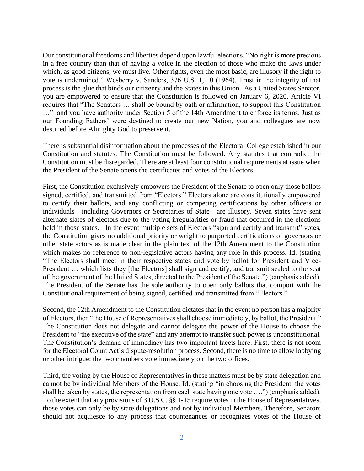Our constitutional freedoms and liberties depend upon lawful elections. "No right is more precious in a free country than that of having a voice in the election of those who make the laws under which, as good citizens, we must live. Other rights, even the most basic, are illusory if the right to vote is undermined." Wesberry v. Sanders, 376 U.S. 1, 10 (1964). Trust in the integrity of that process is the glue that binds our citizenry and the States in this Union. As a United States Senator, you are empowered to ensure that the Constitution is followed on January 6, 2020. Article VI requires that "The Senators … shall be bound by oath or affirmation, to support this Constitution …" and you have authority under Section 5 of the 14th Amendment to enforce its terms. Just as our Founding Fathers' were destined to create our new Nation, you and colleagues are now destined before Almighty God to preserve it.

There is substantial disinformation about the processes of the Electoral College established in our Constitution and statutes. The Constitution must be followed. Any statutes that contradict the Constitution must be disregarded. There are at least four constitutional requirements at issue when the President of the Senate opens the certificates and votes of the Electors.

First, the Constitution exclusively empowers the President of the Senate to open only those ballots signed, certified, and transmitted from "Electors." Electors alone are constitutionally empowered to certify their ballots, and any conflicting or competing certifications by other officers or individuals—including Governors or Secretaries of State—are illusory. Seven states have sent alternate slates of electors due to the voting irregularities or fraud that occurred in the elections held in those states. In the event multiple sets of Electors "sign and certify and transmit" votes, the Constitution gives no additional priority or weight to purported certifications of governors or other state actors as is made clear in the plain text of the 12th Amendment to the Constitution which makes no reference to non-legislative actors having any role in this process. Id. (stating "The Electors shall meet in their respective states and vote by ballot for President and Vice-President ... which lists they [the Electors] shall sign and certify, and transmit sealed to the seat of the government of the United States, directed to the President of the Senate.") (emphasis added). The President of the Senate has the sole authority to open only ballots that comport with the Constitutional requirement of being signed, certified and transmitted from "Electors."

Second, the 12th Amendment to the Constitution dictates that in the event no person has a majority of Electors, then "the House of Representatives shall choose immediately, by ballot, the President." The Constitution does not delegate and cannot delegate the power of the House to choose the President to "the executive of the state" and any attempt to transfer such power is unconstitutional. The Constitution's demand of immediacy has two important facets here. First, there is not room for the Electoral Count Act's dispute-resolution process. Second, there is no time to allow lobbying or other intrigue: the two chambers vote immediately on the two offices.

Third, the voting by the House of Representatives in these matters must be by state delegation and cannot be by individual Members of the House. Id. (stating "in choosing the President, the votes shall be taken by states, the representation from each state having one vote ….") (emphasis added). To the extent that any provisions of 3 U.S.C. §§ 1-15 require votes in the House of Representatives, those votes can only be by state delegations and not by individual Members. Therefore, Senators should not acquiesce to any process that countenances or recognizes votes of the House of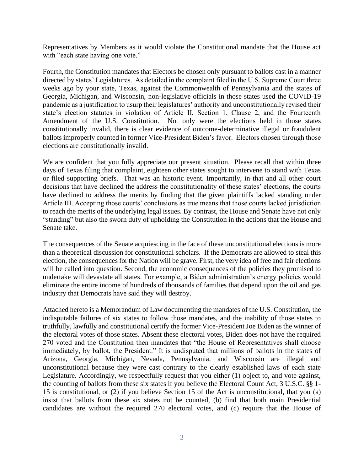Representatives by Members as it would violate the Constitutional mandate that the House act with "each state having one vote."

Fourth, the Constitution mandates that Electors be chosen only pursuant to ballots cast in a manner directed by states' Legislatures. As detailed in the complaint filed in the U.S. Supreme Court three weeks ago by your state, Texas, against the Commonwealth of Pennsylvania and the states of Georgia, Michigan, and Wisconsin, non-legislative officials in those states used the COVID-19 pandemic as a justification to usurp their legislatures' authority and unconstitutionally revised their state's election statutes in violation of Article II, Section 1, Clause 2, and the Fourteenth Amendment of the U.S. Constitution. Not only were the elections held in those states constitutionally invalid, there is clear evidence of outcome-determinative illegal or fraudulent ballots improperly counted in former Vice-President Biden's favor. Electors chosen through those elections are constitutionally invalid.

We are confident that you fully appreciate our present situation. Please recall that within three days of Texas filing that complaint, eighteen other states sought to intervene to stand with Texas or filed supporting briefs. That was an historic event. Importantly, in that and all other court decisions that have declined the address the constitutionality of these states' elections, the courts have declined to address the merits by finding that the given plaintiffs lacked standing under Article III. Accepting those courts' conclusions as true means that those courts lacked jurisdiction to reach the merits of the underlying legal issues. By contrast, the House and Senate have not only "standing" but also the sworn duty of upholding the Constitution in the actions that the House and Senate take.

The consequences of the Senate acquiescing in the face of these unconstitutional elections is more than a theoretical discussion for constitutional scholars. If the Democrats are allowed to steal this election, the consequences for the Nation will be grave. First, the very idea of free and fair elections will be called into question. Second, the economic consequences of the policies they promised to undertake will devastate all states. For example, a Biden administration's energy policies would eliminate the entire income of hundreds of thousands of families that depend upon the oil and gas industry that Democrats have said they will destroy.

Attached hereto is a Memorandum of Law documenting the mandates of the U.S. Constitution, the indisputable failures of six states to follow those mandates, and the inability of those states to truthfully, lawfully and constitutional certify the former Vice-President Joe Biden as the winner of the electoral votes of those states. Absent these electoral votes, Biden does not have the required 270 voted and the Constitution then mandates that "the House of Representatives shall choose immediately, by ballot, the President." It is undisputed that millions of ballots in the states of Arizona, Georgia, Michigan, Nevada, Pennsylvania, and Wisconsin are illegal and unconstitutional because they were cast contrary to the clearly established laws of each state Legislature. Accordingly, we respectfully request that you either (1) object to, and vote against, the counting of ballots from these six states if you believe the Electoral Count Act, 3 U.S.C. §§ 1- 15 is constitutional, or (2) if you believe Section 15 of the Act is unconstitutional, that you (a) insist that ballots from these six states not be counted, (b) find that both main Presidential candidates are without the required 270 electoral votes, and (c) require that the House of